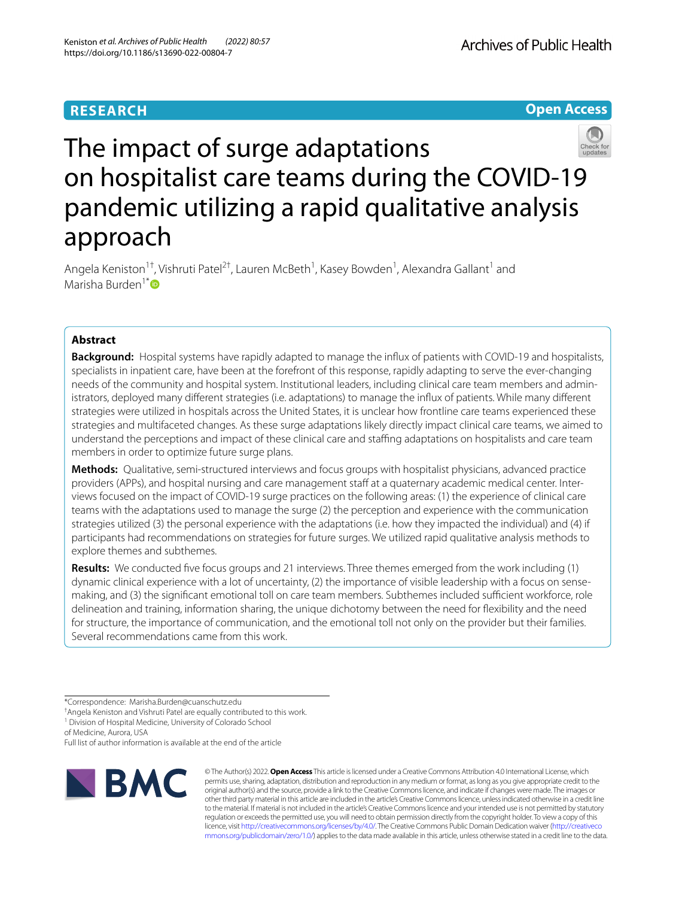# **RESEARCH**

**Open Access**



# The impact of surge adaptations on hospitalist care teams during the COVID-19 pandemic utilizing a rapid qualitative analysis approach

Angela Keniston<sup>1†</sup>, Vishruti Patel<sup>2†</sup>, Lauren McBeth<sup>1</sup>, Kasey Bowden<sup>1</sup>, Alexandra Gallant<sup>1</sup> and Marisha Burden<sup>1[\\*](http://orcid.org/0000-0002-8262-3994)</sup> $\mathbf{D}$ 

# **Abstract**

**Background:** Hospital systems have rapidly adapted to manage the infux of patients with COVID-19 and hospitalists, specialists in inpatient care, have been at the forefront of this response, rapidly adapting to serve the ever-changing needs of the community and hospital system. Institutional leaders, including clinical care team members and administrators, deployed many diferent strategies (i.e. adaptations) to manage the infux of patients. While many diferent strategies were utilized in hospitals across the United States, it is unclear how frontline care teams experienced these strategies and multifaceted changes. As these surge adaptations likely directly impact clinical care teams, we aimed to understand the perceptions and impact of these clinical care and staffing adaptations on hospitalists and care team members in order to optimize future surge plans.

**Methods:** Qualitative, semi-structured interviews and focus groups with hospitalist physicians, advanced practice providers (APPs), and hospital nursing and care management staff at a quaternary academic medical center. Interviews focused on the impact of COVID-19 surge practices on the following areas: (1) the experience of clinical care teams with the adaptations used to manage the surge (2) the perception and experience with the communication strategies utilized (3) the personal experience with the adaptations (i.e. how they impacted the individual) and (4) if participants had recommendations on strategies for future surges. We utilized rapid qualitative analysis methods to explore themes and subthemes.

**Results:** We conducted fve focus groups and 21 interviews. Three themes emerged from the work including (1) dynamic clinical experience with a lot of uncertainty, (2) the importance of visible leadership with a focus on sensemaking, and (3) the significant emotional toll on care team members. Subthemes included sufficient workforce, role delineation and training, information sharing, the unique dichotomy between the need for fexibility and the need for structure, the importance of communication, and the emotional toll not only on the provider but their families. Several recommendations came from this work.

of Medicine, Aurora, USA

Full list of author information is available at the end of the article



© The Author(s) 2022. **Open Access** This article is licensed under a Creative Commons Attribution 4.0 International License, which permits use, sharing, adaptation, distribution and reproduction in any medium or format, as long as you give appropriate credit to the original author(s) and the source, provide a link to the Creative Commons licence, and indicate if changes were made. The images or other third party material in this article are included in the article's Creative Commons licence, unless indicated otherwise in a credit line to the material. If material is not included in the article's Creative Commons licence and your intended use is not permitted by statutory regulation or exceeds the permitted use, you will need to obtain permission directly from the copyright holder. To view a copy of this licence, visit [http://creativecommons.org/licenses/by/4.0/.](http://creativecommons.org/licenses/by/4.0/) The Creative Commons Public Domain Dedication waiver ([http://creativeco](http://creativecommons.org/publicdomain/zero/1.0/) [mmons.org/publicdomain/zero/1.0/](http://creativecommons.org/publicdomain/zero/1.0/)) applies to the data made available in this article, unless otherwise stated in a credit line to the data.

<sup>\*</sup>Correspondence: Marisha.Burden@cuanschutz.edu

<sup>†</sup> Angela Keniston and Vishruti Patel are equally contributed to this work.

<sup>&</sup>lt;sup>1</sup> Division of Hospital Medicine, University of Colorado School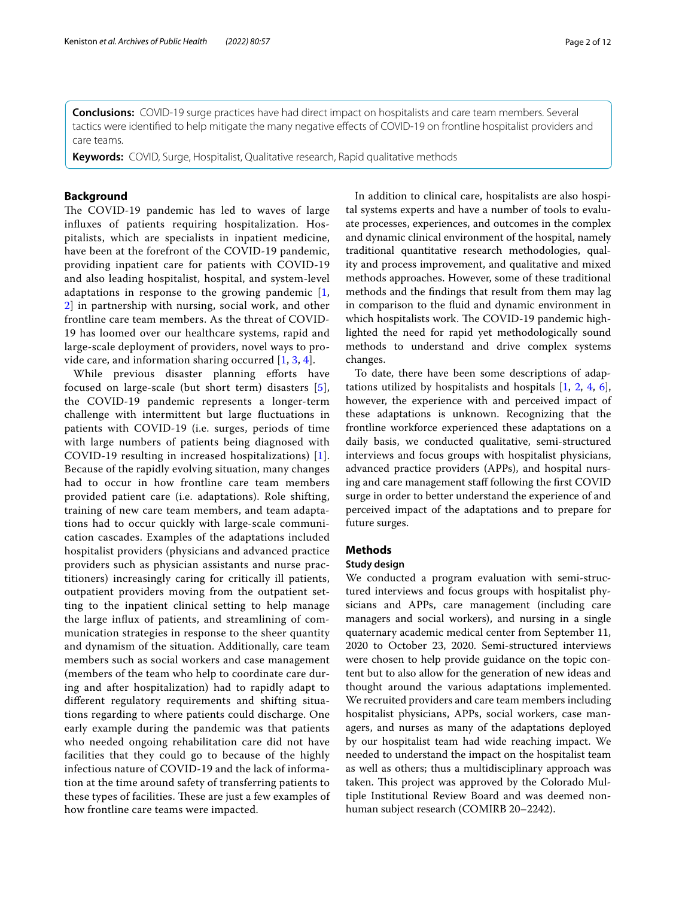**Conclusions:** COVID-19 surge practices have had direct impact on hospitalists and care team members. Several

tactics were identifed to help mitigate the many negative efects of COVID-19 on frontline hospitalist providers and care teams.

**Keywords:** COVID, Surge, Hospitalist, Qualitative research, Rapid qualitative methods

## **Background**

The COVID-19 pandemic has led to waves of large infuxes of patients requiring hospitalization. Hospitalists, which are specialists in inpatient medicine, have been at the forefront of the COVID-19 pandemic, providing inpatient care for patients with COVID-19 and also leading hospitalist, hospital, and system-level adaptations in response to the growing pandemic [\[1](#page-10-0), [2\]](#page-10-1) in partnership with nursing, social work, and other frontline care team members. As the threat of COVID-19 has loomed over our healthcare systems, rapid and large-scale deployment of providers, novel ways to provide care, and information sharing occurred [[1,](#page-10-0) [3](#page-10-2), [4](#page-10-3)].

While previous disaster planning efforts have focused on large-scale (but short term) disasters [[5\]](#page-10-4), the COVID-19 pandemic represents a longer-term challenge with intermittent but large fuctuations in patients with COVID-19 (i.e. surges, periods of time with large numbers of patients being diagnosed with COVID-19 resulting in increased hospitalizations) [[1\]](#page-10-0). Because of the rapidly evolving situation, many changes had to occur in how frontline care team members provided patient care (i.e. adaptations). Role shifting, training of new care team members, and team adaptations had to occur quickly with large-scale communication cascades. Examples of the adaptations included hospitalist providers (physicians and advanced practice providers such as physician assistants and nurse practitioners) increasingly caring for critically ill patients, outpatient providers moving from the outpatient setting to the inpatient clinical setting to help manage the large infux of patients, and streamlining of communication strategies in response to the sheer quantity and dynamism of the situation. Additionally, care team members such as social workers and case management (members of the team who help to coordinate care during and after hospitalization) had to rapidly adapt to diferent regulatory requirements and shifting situations regarding to where patients could discharge. One early example during the pandemic was that patients who needed ongoing rehabilitation care did not have facilities that they could go to because of the highly infectious nature of COVID-19 and the lack of information at the time around safety of transferring patients to these types of facilities. These are just a few examples of how frontline care teams were impacted.

In addition to clinical care, hospitalists are also hospital systems experts and have a number of tools to evaluate processes, experiences, and outcomes in the complex and dynamic clinical environment of the hospital, namely traditional quantitative research methodologies, quality and process improvement, and qualitative and mixed methods approaches. However, some of these traditional methods and the fndings that result from them may lag in comparison to the fuid and dynamic environment in which hospitalists work. The COVID-19 pandemic highlighted the need for rapid yet methodologically sound methods to understand and drive complex systems changes.

To date, there have been some descriptions of adaptations utilized by hospitalists and hospitals [[1,](#page-10-0) [2,](#page-10-1) [4](#page-10-3), [6](#page-10-5)], however, the experience with and perceived impact of these adaptations is unknown. Recognizing that the frontline workforce experienced these adaptations on a daily basis, we conducted qualitative, semi-structured interviews and focus groups with hospitalist physicians, advanced practice providers (APPs), and hospital nursing and care management staff following the first COVID surge in order to better understand the experience of and perceived impact of the adaptations and to prepare for future surges.

# **Methods**

#### **Study design**

We conducted a program evaluation with semi-structured interviews and focus groups with hospitalist physicians and APPs, care management (including care managers and social workers), and nursing in a single quaternary academic medical center from September 11, 2020 to October 23, 2020. Semi-structured interviews were chosen to help provide guidance on the topic content but to also allow for the generation of new ideas and thought around the various adaptations implemented. We recruited providers and care team members including hospitalist physicians, APPs, social workers, case managers, and nurses as many of the adaptations deployed by our hospitalist team had wide reaching impact. We needed to understand the impact on the hospitalist team as well as others; thus a multidisciplinary approach was taken. This project was approved by the Colorado Multiple Institutional Review Board and was deemed nonhuman subject research (COMIRB 20–2242).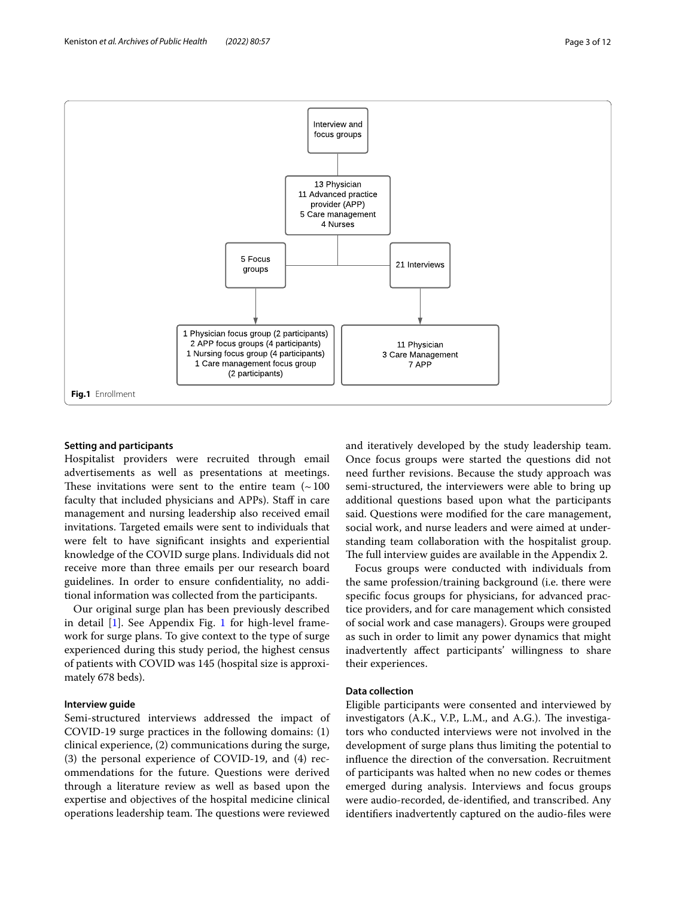

#### <span id="page-2-0"></span>**Setting and participants**

Hospitalist providers were recruited through email advertisements as well as presentations at meetings. These invitations were sent to the entire team  $($   $\sim$  100 faculty that included physicians and APPs). Staff in care management and nursing leadership also received email invitations. Targeted emails were sent to individuals that were felt to have signifcant insights and experiential knowledge of the COVID surge plans. Individuals did not receive more than three emails per our research board guidelines. In order to ensure confdentiality, no additional information was collected from the participants.

Our original surge plan has been previously described in detail [[1\]](#page-10-0). See Appendix Fig. [1](#page-2-0) for high-level framework for surge plans. To give context to the type of surge experienced during this study period, the highest census of patients with COVID was 145 (hospital size is approximately 678 beds).

#### **Interview guide**

Semi-structured interviews addressed the impact of COVID-19 surge practices in the following domains: (1) clinical experience, (2) communications during the surge, (3) the personal experience of COVID-19, and (4) recommendations for the future. Questions were derived through a literature review as well as based upon the expertise and objectives of the hospital medicine clinical operations leadership team. The questions were reviewed and iteratively developed by the study leadership team. Once focus groups were started the questions did not need further revisions. Because the study approach was semi-structured, the interviewers were able to bring up additional questions based upon what the participants said. Questions were modifed for the care management, social work, and nurse leaders and were aimed at understanding team collaboration with the hospitalist group. The full interview guides are available in the Appendix 2.

Focus groups were conducted with individuals from the same profession/training background (i.e. there were specifc focus groups for physicians, for advanced practice providers, and for care management which consisted of social work and case managers). Groups were grouped as such in order to limit any power dynamics that might inadvertently afect participants' willingness to share their experiences.

#### **Data collection**

Eligible participants were consented and interviewed by investigators (A.K., V.P., L.M., and A.G.). The investigators who conducted interviews were not involved in the development of surge plans thus limiting the potential to infuence the direction of the conversation. Recruitment of participants was halted when no new codes or themes emerged during analysis. Interviews and focus groups were audio-recorded, de-identifed, and transcribed. Any identifers inadvertently captured on the audio-fles were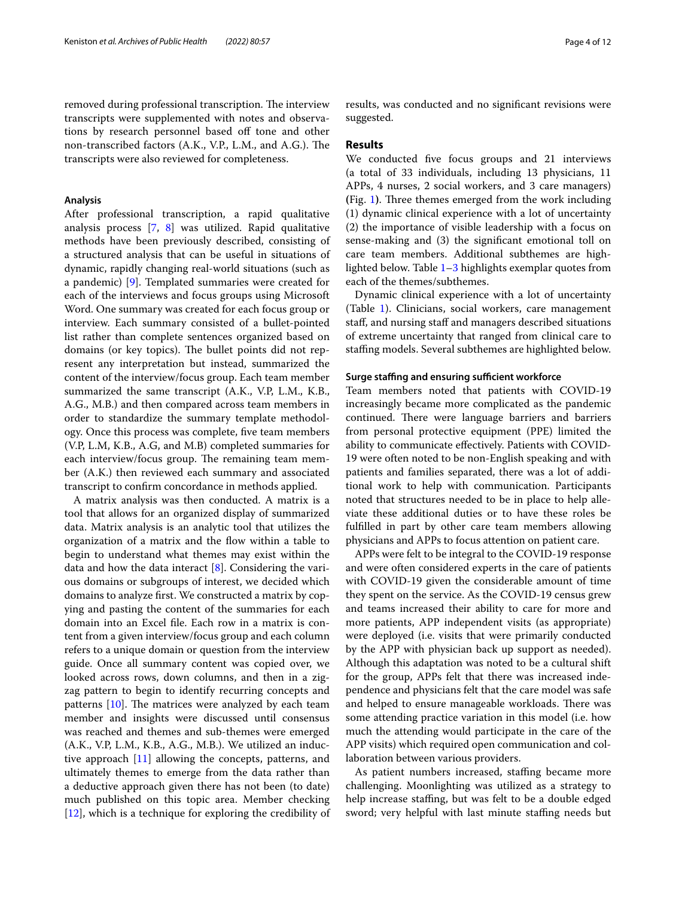removed during professional transcription. The interview transcripts were supplemented with notes and observations by research personnel based off tone and other non-transcribed factors (A.K., V.P., L.M., and A.G.). The transcripts were also reviewed for completeness.

#### **Analysis**

After professional transcription, a rapid qualitative analysis process [\[7](#page-10-6), [8\]](#page-10-7) was utilized. Rapid qualitative methods have been previously described, consisting of a structured analysis that can be useful in situations of dynamic, rapidly changing real-world situations (such as a pandemic) [\[9](#page-10-8)]. Templated summaries were created for each of the interviews and focus groups using Microsoft Word. One summary was created for each focus group or interview. Each summary consisted of a bullet-pointed list rather than complete sentences organized based on domains (or key topics). The bullet points did not represent any interpretation but instead, summarized the content of the interview/focus group. Each team member summarized the same transcript (A.K., V.P, L.M., K.B., A.G., M.B.) and then compared across team members in order to standardize the summary template methodology. Once this process was complete, fve team members (V.P, L.M, K.B., A.G, and M.B) completed summaries for each interview/focus group. The remaining team member (A.K.) then reviewed each summary and associated transcript to confrm concordance in methods applied.

A matrix analysis was then conducted. A matrix is a tool that allows for an organized display of summarized data. Matrix analysis is an analytic tool that utilizes the organization of a matrix and the fow within a table to begin to understand what themes may exist within the data and how the data interact [\[8](#page-10-7)]. Considering the various domains or subgroups of interest, we decided which domains to analyze frst. We constructed a matrix by copying and pasting the content of the summaries for each domain into an Excel fle. Each row in a matrix is content from a given interview/focus group and each column refers to a unique domain or question from the interview guide. Once all summary content was copied over, we looked across rows, down columns, and then in a zigzag pattern to begin to identify recurring concepts and patterns  $[10]$  $[10]$ . The matrices were analyzed by each team member and insights were discussed until consensus was reached and themes and sub-themes were emerged (A.K., V.P, L.M., K.B., A.G., M.B.). We utilized an inductive approach [[11](#page-10-10)] allowing the concepts, patterns, and ultimately themes to emerge from the data rather than a deductive approach given there has not been (to date) much published on this topic area. Member checking [[12\]](#page-11-0), which is a technique for exploring the credibility of results, was conducted and no signifcant revisions were suggested.

#### **Results**

We conducted fve focus groups and 21 interviews (a total of 33 individuals, including 13 physicians, 11 APPs, 4 nurses, 2 social workers, and 3 care managers) **(Fig. [1](#page-2-0)). Three themes emerged from the work including** (1) dynamic clinical experience with a lot of uncertainty (2) the importance of visible leadership with a focus on sense-making and (3) the signifcant emotional toll on care team members. Additional subthemes are highlighted below. Table [1](#page-4-0)–[3](#page-7-0) highlights exemplar quotes from each of the themes/subthemes.

Dynamic clinical experience with a lot of uncertainty (Table [1\)](#page-4-0). Clinicians, social workers, care management staf, and nursing staf and managers described situations of extreme uncertainty that ranged from clinical care to stafng models. Several subthemes are highlighted below.

#### **Surge staffing and ensuring sufficient workforce**

Team members noted that patients with COVID-19 increasingly became more complicated as the pandemic continued. There were language barriers and barriers from personal protective equipment (PPE) limited the ability to communicate efectively. Patients with COVID-19 were often noted to be non-English speaking and with patients and families separated, there was a lot of additional work to help with communication. Participants noted that structures needed to be in place to help alleviate these additional duties or to have these roles be fulflled in part by other care team members allowing physicians and APPs to focus attention on patient care.

APPs were felt to be integral to the COVID-19 response and were often considered experts in the care of patients with COVID-19 given the considerable amount of time they spent on the service. As the COVID-19 census grew and teams increased their ability to care for more and more patients, APP independent visits (as appropriate) were deployed (i.e. visits that were primarily conducted by the APP with physician back up support as needed). Although this adaptation was noted to be a cultural shift for the group, APPs felt that there was increased independence and physicians felt that the care model was safe and helped to ensure manageable workloads. There was some attending practice variation in this model (i.e. how much the attending would participate in the care of the APP visits) which required open communication and collaboration between various providers.

As patient numbers increased, staffing became more challenging. Moonlighting was utilized as a strategy to help increase staffing, but was felt to be a double edged sword; very helpful with last minute staffing needs but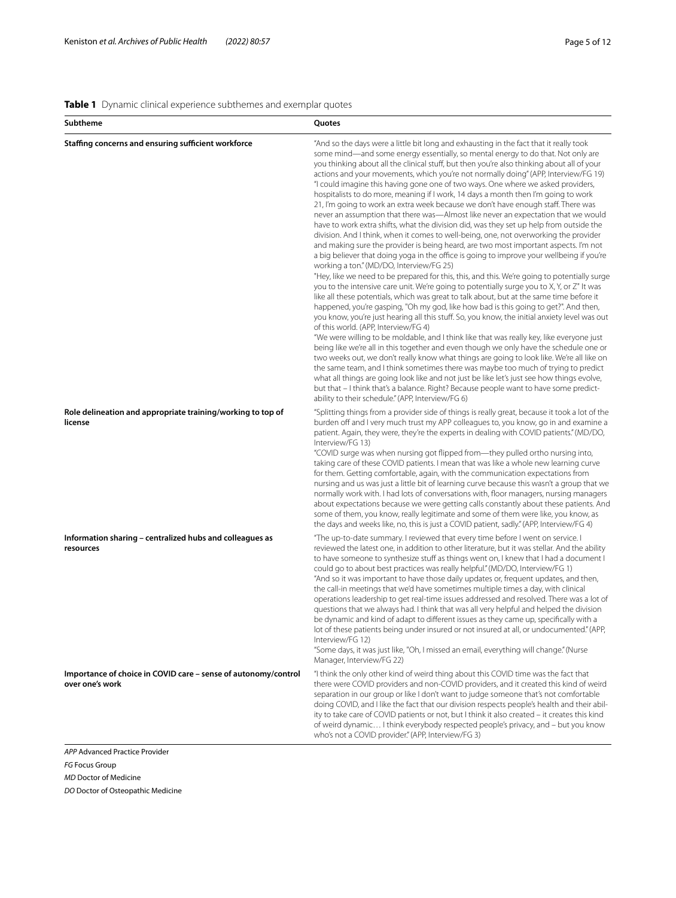# <span id="page-4-0"></span>**Table 1** Dynamic clinical experience subthemes and exemplar quotes

| Subtheme                                                                          | Quotes                                                                                                                                                                                                                                                                                                                                                                                                                                                                                                                                                                                                                                                                                                                                                                                                                                                                                                                                                                                                                                                                                                                                                                                                                                                                                                                                                                                                                                                                                                                                                                                                                                                                                                                                                                                                                                                                                                                                                                                                                                                                                                                                                                                                                                                                                    |
|-----------------------------------------------------------------------------------|-------------------------------------------------------------------------------------------------------------------------------------------------------------------------------------------------------------------------------------------------------------------------------------------------------------------------------------------------------------------------------------------------------------------------------------------------------------------------------------------------------------------------------------------------------------------------------------------------------------------------------------------------------------------------------------------------------------------------------------------------------------------------------------------------------------------------------------------------------------------------------------------------------------------------------------------------------------------------------------------------------------------------------------------------------------------------------------------------------------------------------------------------------------------------------------------------------------------------------------------------------------------------------------------------------------------------------------------------------------------------------------------------------------------------------------------------------------------------------------------------------------------------------------------------------------------------------------------------------------------------------------------------------------------------------------------------------------------------------------------------------------------------------------------------------------------------------------------------------------------------------------------------------------------------------------------------------------------------------------------------------------------------------------------------------------------------------------------------------------------------------------------------------------------------------------------------------------------------------------------------------------------------------------------|
| Staffing concerns and ensuring sufficient workforce                               | "And so the days were a little bit long and exhausting in the fact that it really took<br>some mind—and some energy essentially, so mental energy to do that. Not only are<br>you thinking about all the clinical stuff, but then you're also thinking about all of your<br>actions and your movements, which you're not normally doing" (APP, Interview/FG 19)<br>"I could imagine this having gone one of two ways. One where we asked providers,<br>hospitalists to do more, meaning if I work, 14 days a month then I'm going to work<br>21, I'm going to work an extra week because we don't have enough staff. There was<br>never an assumption that there was—Almost like never an expectation that we would<br>have to work extra shifts, what the division did, was they set up help from outside the<br>division. And I think, when it comes to well-being, one, not overworking the provider<br>and making sure the provider is being heard, are two most important aspects. I'm not<br>a big believer that doing yoga in the office is going to improve your wellbeing if you're<br>working a ton." (MD/DO, Interview/FG 25)<br>"Hey, like we need to be prepared for this, this, and this. We're going to potentially surge<br>you to the intensive care unit. We're going to potentially surge you to X, Y, or Z" It was<br>like all these potentials, which was great to talk about, but at the same time before it<br>happened, you're gasping, "Oh my god, like how bad is this going to get?". And then,<br>you know, you're just hearing all this stuff. So, you know, the initial anxiety level was out<br>of this world. (APP, Interview/FG 4)<br>"We were willing to be moldable, and I think like that was really key, like everyone just<br>being like we're all in this together and even though we only have the schedule one or<br>two weeks out, we don't really know what things are going to look like. We're all like on<br>the same team, and I think sometimes there was maybe too much of trying to predict<br>what all things are going look like and not just be like let's just see how things evolve,<br>but that – I think that's a balance. Right? Because people want to have some predict-<br>ability to their schedule." (APP, Interview/FG 6) |
| Role delineation and appropriate training/working to top of<br>license            | "Splitting things from a provider side of things is really great, because it took a lot of the<br>burden off and I very much trust my APP colleagues to, you know, go in and examine a<br>patient. Again, they were, they're the experts in dealing with COVID patients." (MD/DO,<br>Interview/FG 13)<br>"COVID surge was when nursing got flipped from—they pulled ortho nursing into,<br>taking care of these COVID patients. I mean that was like a whole new learning curve<br>for them. Getting comfortable, again, with the communication expectations from<br>nursing and us was just a little bit of learning curve because this wasn't a group that we<br>normally work with. I had lots of conversations with, floor managers, nursing managers<br>about expectations because we were getting calls constantly about these patients. And<br>some of them, you know, really legitimate and some of them were like, you know, as<br>the days and weeks like, no, this is just a COVID patient, sadly." (APP, Interview/FG 4)                                                                                                                                                                                                                                                                                                                                                                                                                                                                                                                                                                                                                                                                                                                                                                                                                                                                                                                                                                                                                                                                                                                                                                                                                                                      |
| Information sharing - centralized hubs and colleagues as<br>resources             | "The up-to-date summary. I reviewed that every time before I went on service. I<br>reviewed the latest one, in addition to other literature, but it was stellar. And the ability<br>to have someone to synthesize stuff as things went on, I knew that I had a document I<br>could go to about best practices was really helpful." (MD/DO, Interview/FG 1)<br>"And so it was important to have those daily updates or, frequent updates, and then,<br>the call-in meetings that we'd have sometimes multiple times a day, with clinical<br>operations leadership to get real-time issues addressed and resolved. There was a lot of<br>questions that we always had. I think that was all very helpful and helped the division<br>be dynamic and kind of adapt to different issues as they came up, specifically with a<br>lot of these patients being under insured or not insured at all, or undocumented." (APP,<br>Interview/FG 12)<br>"Some days, it was just like, "Oh, I missed an email, everything will change." (Nurse<br>Manager, Interview/FG 22)                                                                                                                                                                                                                                                                                                                                                                                                                                                                                                                                                                                                                                                                                                                                                                                                                                                                                                                                                                                                                                                                                                                                                                                                                             |
| Importance of choice in COVID care - sense of autonomy/control<br>over one's work | "I think the only other kind of weird thing about this COVID time was the fact that<br>there were COVID providers and non-COVID providers, and it created this kind of weird<br>separation in our group or like I don't want to judge someone that's not comfortable<br>doing COVID, and I like the fact that our division respects people's health and their abil-<br>ity to take care of COVID patients or not, but I think it also created - it creates this kind<br>of weird dynamic I think everybody respected people's privacy, and - but you know<br>who's not a COVID provider." (APP, Interview/FG 3)                                                                                                                                                                                                                                                                                                                                                                                                                                                                                                                                                                                                                                                                                                                                                                                                                                                                                                                                                                                                                                                                                                                                                                                                                                                                                                                                                                                                                                                                                                                                                                                                                                                                           |

*APP* Advanced Practice Provider *FG* Focus Group *MD* Doctor of Medicine *DO* Doctor of Osteopathic Medicine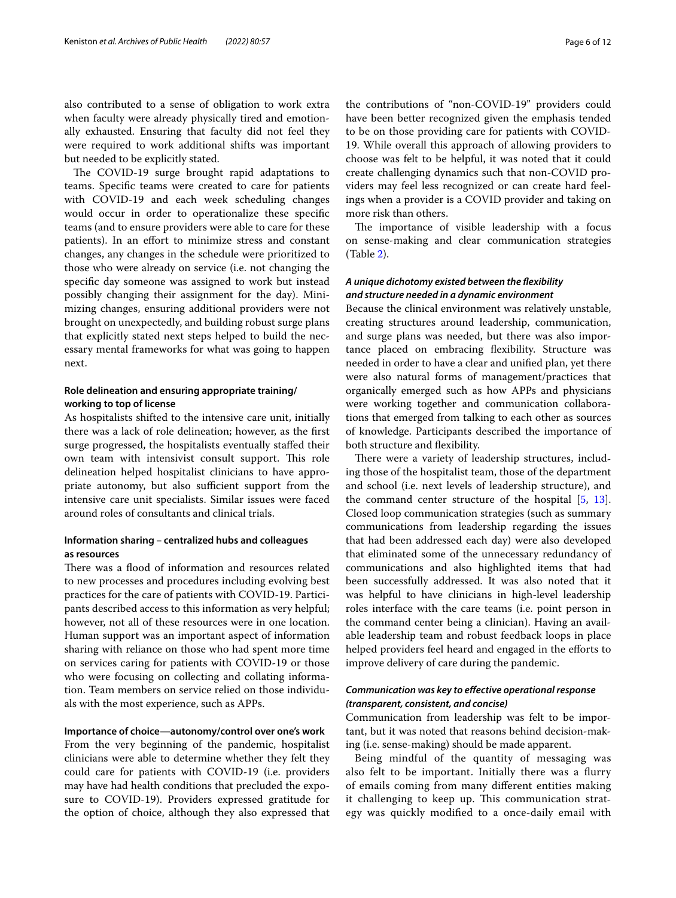also contributed to a sense of obligation to work extra when faculty were already physically tired and emotionally exhausted. Ensuring that faculty did not feel they were required to work additional shifts was important but needed to be explicitly stated.

The COVID-19 surge brought rapid adaptations to teams. Specifc teams were created to care for patients with COVID-19 and each week scheduling changes would occur in order to operationalize these specifc teams (and to ensure providers were able to care for these patients). In an effort to minimize stress and constant changes, any changes in the schedule were prioritized to those who were already on service (i.e. not changing the specifc day someone was assigned to work but instead possibly changing their assignment for the day). Minimizing changes, ensuring additional providers were not brought on unexpectedly, and building robust surge plans that explicitly stated next steps helped to build the necessary mental frameworks for what was going to happen next.

# **Role delineation and ensuring appropriate training/ working to top of license**

As hospitalists shifted to the intensive care unit, initially there was a lack of role delineation; however, as the frst surge progressed, the hospitalists eventually stafed their own team with intensivist consult support. This role delineation helped hospitalist clinicians to have appropriate autonomy, but also sufficient support from the intensive care unit specialists. Similar issues were faced around roles of consultants and clinical trials.

## **Information sharing – centralized hubs and colleagues as resources**

There was a flood of information and resources related to new processes and procedures including evolving best practices for the care of patients with COVID-19. Participants described access to this information as very helpful; however, not all of these resources were in one location. Human support was an important aspect of information sharing with reliance on those who had spent more time on services caring for patients with COVID-19 or those who were focusing on collecting and collating information. Team members on service relied on those individuals with the most experience, such as APPs.

#### **Importance of choice—autonomy/control over one's work**

From the very beginning of the pandemic, hospitalist clinicians were able to determine whether they felt they could care for patients with COVID-19 (i.e. providers may have had health conditions that precluded the exposure to COVID-19). Providers expressed gratitude for the option of choice, although they also expressed that the contributions of "non-COVID-19" providers could have been better recognized given the emphasis tended to be on those providing care for patients with COVID-19. While overall this approach of allowing providers to choose was felt to be helpful, it was noted that it could create challenging dynamics such that non-COVID providers may feel less recognized or can create hard feelings when a provider is a COVID provider and taking on more risk than others.

The importance of visible leadership with a focus on sense-making and clear communication strategies (Table [2\)](#page-6-0).

# *A unique dichotomy existed between the fexibility and structure needed in a dynamic environment*

Because the clinical environment was relatively unstable, creating structures around leadership, communication, and surge plans was needed, but there was also importance placed on embracing fexibility. Structure was needed in order to have a clear and unifed plan, yet there were also natural forms of management/practices that organically emerged such as how APPs and physicians were working together and communication collaborations that emerged from talking to each other as sources of knowledge. Participants described the importance of both structure and fexibility.

There were a variety of leadership structures, including those of the hospitalist team, those of the department and school (i.e. next levels of leadership structure), and the command center structure of the hospital [[5](#page-10-4), [13](#page-11-1)]. Closed loop communication strategies (such as summary communications from leadership regarding the issues that had been addressed each day) were also developed that eliminated some of the unnecessary redundancy of communications and also highlighted items that had been successfully addressed. It was also noted that it was helpful to have clinicians in high-level leadership roles interface with the care teams (i.e. point person in the command center being a clinician). Having an available leadership team and robust feedback loops in place helped providers feel heard and engaged in the efforts to improve delivery of care during the pandemic.

# *Communication was key to efective operational response (transparent, consistent, and concise)*

Communication from leadership was felt to be important, but it was noted that reasons behind decision-making (i.e. sense-making) should be made apparent.

Being mindful of the quantity of messaging was also felt to be important. Initially there was a furry of emails coming from many diferent entities making it challenging to keep up. This communication strategy was quickly modifed to a once-daily email with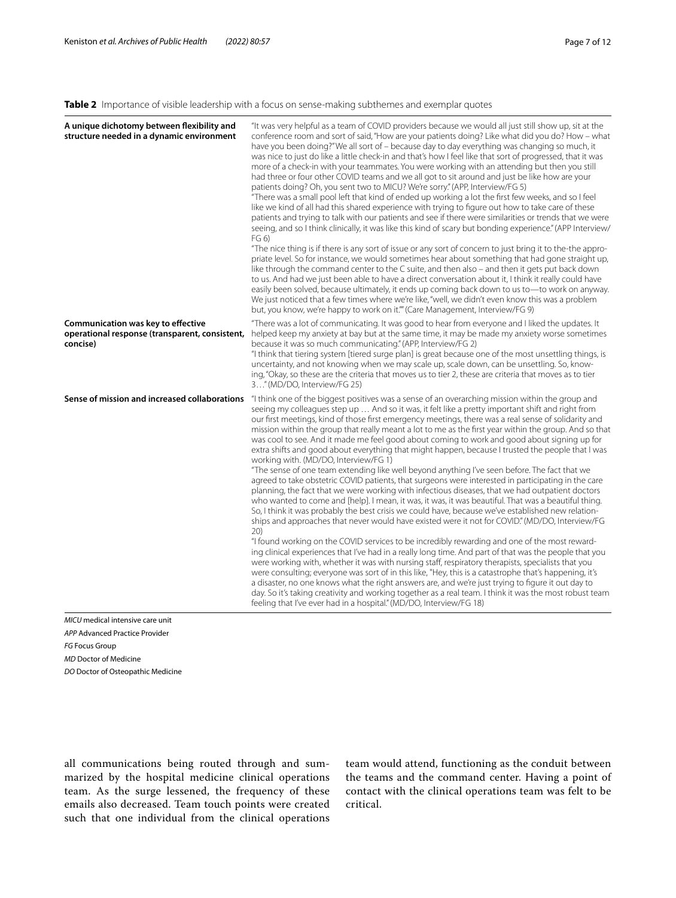## <span id="page-6-0"></span>**Table 2** Importance of visible leadership with a focus on sense-making subthemes and exemplar quotes

| "It was very helpful as a team of COVID providers because we would all just still show up, sit at the<br>conference room and sort of said, "How are your patients doing? Like what did you do? How - what<br>have you been doing?"We all sort of - because day to day everything was changing so much, it<br>was nice to just do like a little check-in and that's how I feel like that sort of progressed, that it was<br>more of a check-in with your teammates. You were working with an attending but then you still<br>had three or four other COVID teams and we all got to sit around and just be like how are your<br>patients doing? Oh, you sent two to MICU? We're sorry." (APP, Interview/FG 5)<br>"There was a small pool left that kind of ended up working a lot the first few weeks, and so I feel<br>like we kind of all had this shared experience with trying to figure out how to take care of these<br>patients and trying to talk with our patients and see if there were similarities or trends that we were<br>seeing, and so I think clinically, it was like this kind of scary but bonding experience." (APP Interview/<br>FG 6)<br>"The nice thing is if there is any sort of issue or any sort of concern to just bring it to the-the appro-<br>priate level. So for instance, we would sometimes hear about something that had gone straight up,<br>like through the command center to the C suite, and then also - and then it gets put back down<br>to us. And had we just been able to have a direct conversation about it, I think it really could have<br>easily been solved, because ultimately, it ends up coming back down to us to-to work on anyway.<br>We just noticed that a few times where we're like, "well, we didn't even know this was a problem<br>but, you know, we're happy to work on it."" (Care Management, Interview/FG 9)                                                                                                                                             |
|------------------------------------------------------------------------------------------------------------------------------------------------------------------------------------------------------------------------------------------------------------------------------------------------------------------------------------------------------------------------------------------------------------------------------------------------------------------------------------------------------------------------------------------------------------------------------------------------------------------------------------------------------------------------------------------------------------------------------------------------------------------------------------------------------------------------------------------------------------------------------------------------------------------------------------------------------------------------------------------------------------------------------------------------------------------------------------------------------------------------------------------------------------------------------------------------------------------------------------------------------------------------------------------------------------------------------------------------------------------------------------------------------------------------------------------------------------------------------------------------------------------------------------------------------------------------------------------------------------------------------------------------------------------------------------------------------------------------------------------------------------------------------------------------------------------------------------------------------------------------------------------------------------------------------------------------------------------------------------------------------------------------------|
| "There was a lot of communicating. It was good to hear from everyone and I liked the updates. It<br>helped keep my anxiety at bay but at the same time, it may be made my anxiety worse sometimes<br>because it was so much communicating." (APP, Interview/FG 2)<br>"I think that tiering system [tiered surge plan] is great because one of the most unsettling things, is<br>uncertainty, and not knowing when we may scale up, scale down, can be unsettling. So, know-<br>ing, "Okay, so these are the criteria that moves us to tier 2, these are criteria that moves as to tier<br>3" (MD/DO, Interview/FG 25)                                                                                                                                                                                                                                                                                                                                                                                                                                                                                                                                                                                                                                                                                                                                                                                                                                                                                                                                                                                                                                                                                                                                                                                                                                                                                                                                                                                                        |
| "I think one of the biggest positives was a sense of an overarching mission within the group and<br>seeing my colleagues step up  And so it was, it felt like a pretty important shift and right from<br>our first meetings, kind of those first emergency meetings, there was a real sense of solidarity and<br>mission within the group that really meant a lot to me as the first year within the group. And so that<br>was cool to see. And it made me feel good about coming to work and good about signing up for<br>extra shifts and good about everything that might happen, because I trusted the people that I was<br>working with. (MD/DO, Interview/FG 1)<br>"The sense of one team extending like well beyond anything I've seen before. The fact that we<br>agreed to take obstetric COVID patients, that surgeons were interested in participating in the care<br>planning, the fact that we were working with infectious diseases, that we had outpatient doctors<br>who wanted to come and [help]. I mean, it was, it was, it was beautiful. That was a beautiful thing.<br>So, I think it was probably the best crisis we could have, because we've established new relation-<br>ships and approaches that never would have existed were it not for COVID." (MD/DO, Interview/FG<br>20)<br>"I found working on the COVID services to be incredibly rewarding and one of the most reward-<br>ing clinical experiences that I've had in a really long time. And part of that was the people that you<br>were working with, whether it was with nursing staff, respiratory therapists, specialists that you<br>were consulting; everyone was sort of in this like, "Hey, this is a catastrophe that's happening, it's<br>a disaster, no one knows what the right answers are, and we're just trying to figure it out day to<br>day. So it's taking creativity and working together as a real team. I think it was the most robust team<br>feeling that I've ever had in a hospital." (MD/DO, Interview/FG 18) |
| operational response (transparent, consistent,<br>Sense of mission and increased collaborations                                                                                                                                                                                                                                                                                                                                                                                                                                                                                                                                                                                                                                                                                                                                                                                                                                                                                                                                                                                                                                                                                                                                                                                                                                                                                                                                                                                                                                                                                                                                                                                                                                                                                                                                                                                                                                                                                                                              |

*APP* Advanced Practice Provider *FG* Focus Group *MD* Doctor of Medicine *DO* Doctor of Osteopathic Medicine

all communications being routed through and summarized by the hospital medicine clinical operations team. As the surge lessened, the frequency of these emails also decreased. Team touch points were created such that one individual from the clinical operations team would attend, functioning as the conduit between the teams and the command center. Having a point of contact with the clinical operations team was felt to be critical.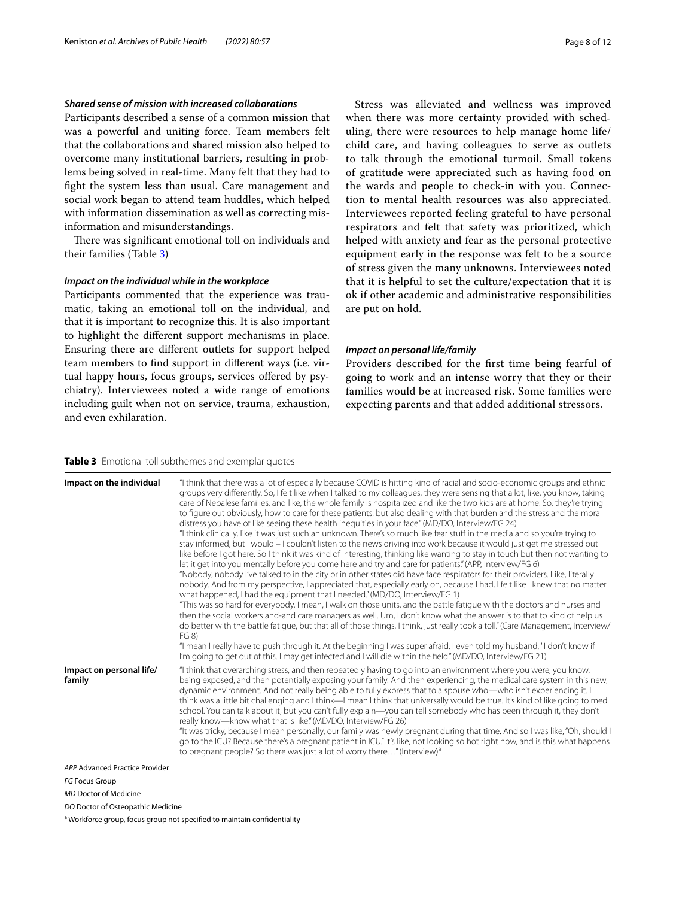#### *Shared sense of mission with increased collaborations*

Participants described a sense of a common mission that was a powerful and uniting force. Team members felt that the collaborations and shared mission also helped to overcome many institutional barriers, resulting in problems being solved in real-time. Many felt that they had to fght the system less than usual. Care management and social work began to attend team huddles, which helped with information dissemination as well as correcting misinformation and misunderstandings.

There was significant emotional toll on individuals and their families (Table [3](#page-7-0))

#### *Impact on the individual while in the workplace*

Participants commented that the experience was traumatic, taking an emotional toll on the individual, and that it is important to recognize this. It is also important to highlight the diferent support mechanisms in place. Ensuring there are diferent outlets for support helped team members to fnd support in diferent ways (i.e. virtual happy hours, focus groups, services offered by psychiatry). Interviewees noted a wide range of emotions including guilt when not on service, trauma, exhaustion, and even exhilaration.

Stress was alleviated and wellness was improved when there was more certainty provided with scheduling, there were resources to help manage home life/ child care, and having colleagues to serve as outlets to talk through the emotional turmoil. Small tokens of gratitude were appreciated such as having food on the wards and people to check-in with you. Connection to mental health resources was also appreciated. Interviewees reported feeling grateful to have personal respirators and felt that safety was prioritized, which helped with anxiety and fear as the personal protective equipment early in the response was felt to be a source of stress given the many unknowns. Interviewees noted that it is helpful to set the culture/expectation that it is ok if other academic and administrative responsibilities are put on hold.

#### *Impact on personal life/family*

Providers described for the frst time being fearful of going to work and an intense worry that they or their families would be at increased risk. Some families were expecting parents and that added additional stressors.

#### <span id="page-7-0"></span>**Table 3** Emotional toll subthemes and exemplar quotes

| Impact on the individual           | "I think that there was a lot of especially because COVID is hitting kind of racial and socio-economic groups and ethnic<br>groups very differently. So, I felt like when I talked to my colleagues, they were sensing that a lot, like, you know, taking<br>care of Nepalese families, and like, the whole family is hospitalized and like the two kids are at home. So, they're trying<br>to figure out obviously, how to care for these patients, but also dealing with that burden and the stress and the moral<br>distress you have of like seeing these health inequities in your face." (MD/DO, Interview/FG 24)<br>"I think clinically, like it was just such an unknown. There's so much like fear stuff in the media and so you're trying to<br>stay informed, but I would – I couldn't listen to the news driving into work because it would just get me stressed out<br>like before I got here. So I think it was kind of interesting, thinking like wanting to stay in touch but then not wanting to<br>let it get into you mentally before you come here and try and care for patients." (APP, Interview/FG 6)<br>"Nobody, nobody I've talked to in the city or in other states did have face respirators for their providers. Like, literally<br>nobody. And from my perspective, I appreciated that, especially early on, because I had, I felt like I knew that no matter<br>what happened, I had the equipment that I needed." (MD/DO, Interview/FG 1)<br>"This was so hard for everybody, I mean, I walk on those units, and the battle fatigue with the doctors and nurses and<br>then the social workers and-and care managers as well. Um, I don't know what the answer is to that to kind of help us<br>do better with the battle fatique, but that all of those things, I think, just really took a toll." (Care Management, Interview/<br>FG 8)<br>"I mean I really have to push through it. At the beginning I was super afraid. I even told my husband, "I don't know if<br>I'm going to get out of this. I may get infected and I will die within the field." (MD/DO, Interview/FG 21) |
|------------------------------------|--------------------------------------------------------------------------------------------------------------------------------------------------------------------------------------------------------------------------------------------------------------------------------------------------------------------------------------------------------------------------------------------------------------------------------------------------------------------------------------------------------------------------------------------------------------------------------------------------------------------------------------------------------------------------------------------------------------------------------------------------------------------------------------------------------------------------------------------------------------------------------------------------------------------------------------------------------------------------------------------------------------------------------------------------------------------------------------------------------------------------------------------------------------------------------------------------------------------------------------------------------------------------------------------------------------------------------------------------------------------------------------------------------------------------------------------------------------------------------------------------------------------------------------------------------------------------------------------------------------------------------------------------------------------------------------------------------------------------------------------------------------------------------------------------------------------------------------------------------------------------------------------------------------------------------------------------------------------------------------------------------------------------------------------------------------------------------------------------------------------|
| Impact on personal life/<br>family | "I think that overarching stress, and then repeatedly having to go into an environment where you were, you know,<br>being exposed, and then potentially exposing your family. And then experiencing, the medical care system in this new,<br>dynamic environment. And not really being able to fully express that to a spouse who—who isn't experiencing it. I<br>think was a little bit challenging and I think—I mean I think that universally would be true. It's kind of like going to med<br>school. You can talk about it, but you can't fully explain—you can tell somebody who has been through it, they don't<br>really know-know what that is like." (MD/DO, Interview/FG 26)<br>"It was tricky, because I mean personally, our family was newly pregnant during that time. And so I was like, "Oh, should I<br>go to the ICU? Because there's a pregnant patient in ICU." It's like, not looking so hot right now, and is this what happens<br>to pregnant people? So there was just a lot of worry there" (Interview) <sup>a</sup>                                                                                                                                                                                                                                                                                                                                                                                                                                                                                                                                                                                                                                                                                                                                                                                                                                                                                                                                                                                                                                                                     |
| APP Advanced Practice Provider     |                                                                                                                                                                                                                                                                                                                                                                                                                                                                                                                                                                                                                                                                                                                                                                                                                                                                                                                                                                                                                                                                                                                                                                                                                                                                                                                                                                                                                                                                                                                                                                                                                                                                                                                                                                                                                                                                                                                                                                                                                                                                                                                    |

*APP* Advanced Practice Provider

*MD* Doctor of Medicine

*DO* Doctor of Osteopathic Medicine

<sup>a</sup> Workforce group, focus group not specified to maintain confidentiality

*FG* Focus Group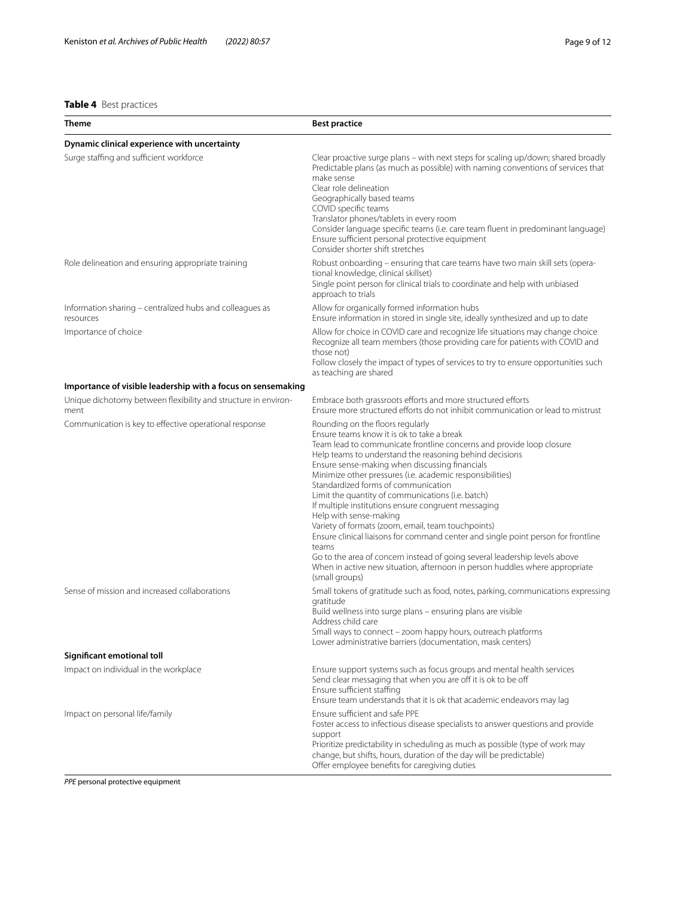# <span id="page-8-0"></span>**Table 4** Best practices

| <b>Theme</b>                                                           | <b>Best practice</b>                                                                                                                                                                                                                                                                                                                                                                                                                                                                                                                                                                                                                                                                                                                                                                                                                             |
|------------------------------------------------------------------------|--------------------------------------------------------------------------------------------------------------------------------------------------------------------------------------------------------------------------------------------------------------------------------------------------------------------------------------------------------------------------------------------------------------------------------------------------------------------------------------------------------------------------------------------------------------------------------------------------------------------------------------------------------------------------------------------------------------------------------------------------------------------------------------------------------------------------------------------------|
| Dynamic clinical experience with uncertainty                           |                                                                                                                                                                                                                                                                                                                                                                                                                                                                                                                                                                                                                                                                                                                                                                                                                                                  |
| Surge staffing and sufficient workforce                                | Clear proactive surge plans - with next steps for scaling up/down; shared broadly<br>Predictable plans (as much as possible) with naming conventions of services that<br>make sense<br>Clear role delineation<br>Geographically based teams<br>COVID specific teams<br>Translator phones/tablets in every room<br>Consider language specific teams (i.e. care team fluent in predominant language)<br>Ensure sufficient personal protective equipment<br>Consider shorter shift stretches                                                                                                                                                                                                                                                                                                                                                        |
| Role delineation and ensuring appropriate training                     | Robust onboarding - ensuring that care teams have two main skill sets (opera-<br>tional knowledge, clinical skillset)<br>Single point person for clinical trials to coordinate and help with unbiased<br>approach to trials                                                                                                                                                                                                                                                                                                                                                                                                                                                                                                                                                                                                                      |
| Information sharing - centralized hubs and colleagues as<br>resources  | Allow for organically formed information hubs<br>Ensure information in stored in single site, ideally synthesized and up to date                                                                                                                                                                                                                                                                                                                                                                                                                                                                                                                                                                                                                                                                                                                 |
| Importance of choice                                                   | Allow for choice in COVID care and recognize life situations may change choice<br>Recognize all team members (those providing care for patients with COVID and<br>those not)<br>Follow closely the impact of types of services to try to ensure opportunities such<br>as teaching are shared                                                                                                                                                                                                                                                                                                                                                                                                                                                                                                                                                     |
| Importance of visible leadership with a focus on sensemaking           |                                                                                                                                                                                                                                                                                                                                                                                                                                                                                                                                                                                                                                                                                                                                                                                                                                                  |
| Unique dichotomy between flexibility and structure in environ-<br>ment | Embrace both grassroots efforts and more structured efforts<br>Ensure more structured efforts do not inhibit communication or lead to mistrust                                                                                                                                                                                                                                                                                                                                                                                                                                                                                                                                                                                                                                                                                                   |
| Communication is key to effective operational response                 | Rounding on the floors regularly<br>Ensure teams know it is ok to take a break<br>Team lead to communicate frontline concerns and provide loop closure<br>Help teams to understand the reasoning behind decisions<br>Ensure sense-making when discussing financials<br>Minimize other pressures (i.e. academic responsibilities)<br>Standardized forms of communication<br>Limit the quantity of communications (i.e. batch)<br>If multiple institutions ensure congruent messaging<br>Help with sense-making<br>Variety of formats (zoom, email, team touchpoints)<br>Ensure clinical liaisons for command center and single point person for frontline<br>teams<br>Go to the area of concern instead of going several leadership levels above<br>When in active new situation, afternoon in person huddles where appropriate<br>(small groups) |
| Sense of mission and increased collaborations                          | Small tokens of gratitude such as food, notes, parking, communications expressing<br>gratitude<br>Build wellness into surge plans - ensuring plans are visible<br>Address child care<br>Small ways to connect - zoom happy hours, outreach platforms<br>Lower administrative barriers (documentation, mask centers)                                                                                                                                                                                                                                                                                                                                                                                                                                                                                                                              |
| Significant emotional toll                                             |                                                                                                                                                                                                                                                                                                                                                                                                                                                                                                                                                                                                                                                                                                                                                                                                                                                  |
| Impact on individual in the workplace                                  | Ensure support systems such as focus groups and mental health services<br>Send clear messaging that when you are off it is ok to be off<br>Ensure sufficient staffing<br>Ensure team understands that it is ok that academic endeavors may lag                                                                                                                                                                                                                                                                                                                                                                                                                                                                                                                                                                                                   |
| Impact on personal life/family                                         | Ensure sufficient and safe PPE<br>Foster access to infectious disease specialists to answer questions and provide<br>support<br>Prioritize predictability in scheduling as much as possible (type of work may<br>change, but shifts, hours, duration of the day will be predictable)<br>Offer employee benefits for caregiving duties                                                                                                                                                                                                                                                                                                                                                                                                                                                                                                            |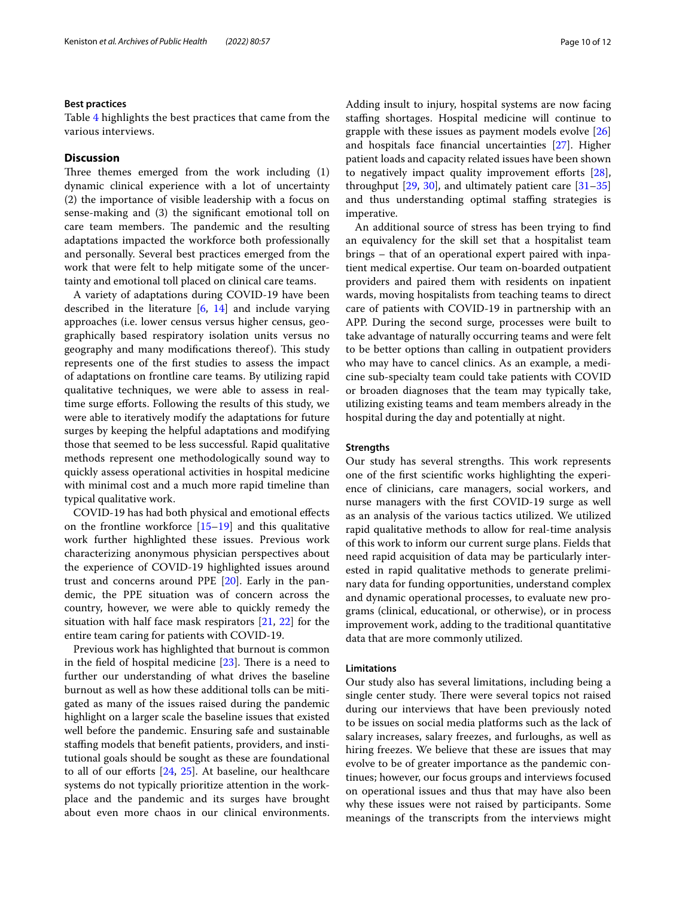#### **Best practices**

Table [4](#page-8-0) highlights the best practices that came from the various interviews.

#### **Discussion**

Three themes emerged from the work including  $(1)$ dynamic clinical experience with a lot of uncertainty (2) the importance of visible leadership with a focus on sense-making and (3) the signifcant emotional toll on care team members. The pandemic and the resulting adaptations impacted the workforce both professionally and personally. Several best practices emerged from the work that were felt to help mitigate some of the uncertainty and emotional toll placed on clinical care teams.

A variety of adaptations during COVID-19 have been described in the literature [\[6](#page-10-5), [14\]](#page-11-2) and include varying approaches (i.e. lower census versus higher census, geographically based respiratory isolation units versus no geography and many modifications thereof). This study represents one of the frst studies to assess the impact of adaptations on frontline care teams. By utilizing rapid qualitative techniques, we were able to assess in realtime surge eforts. Following the results of this study, we were able to iteratively modify the adaptations for future surges by keeping the helpful adaptations and modifying those that seemed to be less successful. Rapid qualitative methods represent one methodologically sound way to quickly assess operational activities in hospital medicine with minimal cost and a much more rapid timeline than typical qualitative work.

COVID-19 has had both physical and emotional efects on the frontline workforce [[15](#page-11-3)[–19](#page-11-4)] and this qualitative work further highlighted these issues. Previous work characterizing anonymous physician perspectives about the experience of COVID-19 highlighted issues around trust and concerns around PPE [\[20\]](#page-11-5). Early in the pandemic, the PPE situation was of concern across the country, however, we were able to quickly remedy the situation with half face mask respirators [[21,](#page-11-6) [22\]](#page-11-7) for the entire team caring for patients with COVID-19.

Previous work has highlighted that burnout is common in the field of hospital medicine  $[23]$  $[23]$ . There is a need to further our understanding of what drives the baseline burnout as well as how these additional tolls can be mitigated as many of the issues raised during the pandemic highlight on a larger scale the baseline issues that existed well before the pandemic. Ensuring safe and sustainable staffing models that benefit patients, providers, and institutional goals should be sought as these are foundational to all of our eforts [[24,](#page-11-9) [25](#page-11-10)]. At baseline, our healthcare systems do not typically prioritize attention in the workplace and the pandemic and its surges have brought about even more chaos in our clinical environments. Adding insult to injury, hospital systems are now facing stafng shortages. Hospital medicine will continue to grapple with these issues as payment models evolve [[26](#page-11-11)] and hospitals face fnancial uncertainties [[27\]](#page-11-12). Higher patient loads and capacity related issues have been shown to negatively impact quality improvement efforts [\[28](#page-11-13)], throughput  $[29, 30]$  $[29, 30]$  $[29, 30]$  $[29, 30]$ , and ultimately patient care  $[31-35]$  $[31-35]$  $[31-35]$ and thus understanding optimal staffing strategies is imperative.

An additional source of stress has been trying to fnd an equivalency for the skill set that a hospitalist team brings – that of an operational expert paired with inpatient medical expertise. Our team on-boarded outpatient providers and paired them with residents on inpatient wards, moving hospitalists from teaching teams to direct care of patients with COVID-19 in partnership with an APP. During the second surge, processes were built to take advantage of naturally occurring teams and were felt to be better options than calling in outpatient providers who may have to cancel clinics. As an example, a medicine sub-specialty team could take patients with COVID or broaden diagnoses that the team may typically take, utilizing existing teams and team members already in the hospital during the day and potentially at night.

#### **Strengths**

Our study has several strengths. This work represents one of the frst scientifc works highlighting the experience of clinicians, care managers, social workers, and nurse managers with the frst COVID-19 surge as well as an analysis of the various tactics utilized. We utilized rapid qualitative methods to allow for real-time analysis of this work to inform our current surge plans. Fields that need rapid acquisition of data may be particularly interested in rapid qualitative methods to generate preliminary data for funding opportunities, understand complex and dynamic operational processes, to evaluate new programs (clinical, educational, or otherwise), or in process improvement work, adding to the traditional quantitative data that are more commonly utilized.

#### **Limitations**

Our study also has several limitations, including being a single center study. There were several topics not raised during our interviews that have been previously noted to be issues on social media platforms such as the lack of salary increases, salary freezes, and furloughs, as well as hiring freezes. We believe that these are issues that may evolve to be of greater importance as the pandemic continues; however, our focus groups and interviews focused on operational issues and thus that may have also been why these issues were not raised by participants. Some meanings of the transcripts from the interviews might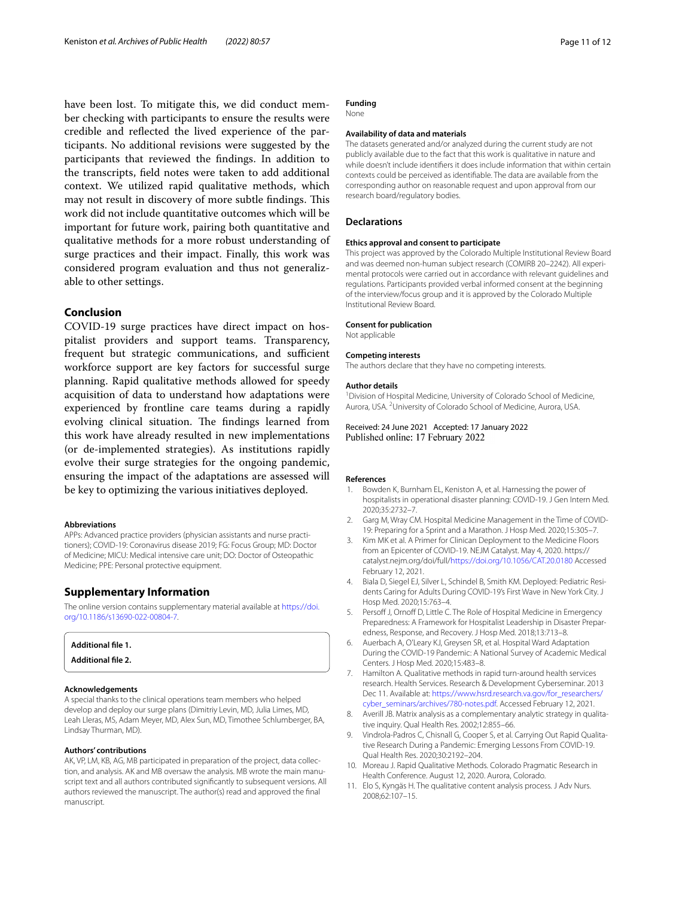have been lost. To mitigate this, we did conduct member checking with participants to ensure the results were credible and refected the lived experience of the participants. No additional revisions were suggested by the participants that reviewed the fndings. In addition to the transcripts, feld notes were taken to add additional context. We utilized rapid qualitative methods, which may not result in discovery of more subtle findings. This work did not include quantitative outcomes which will be important for future work, pairing both quantitative and qualitative methods for a more robust understanding of surge practices and their impact. Finally, this work was considered program evaluation and thus not generalizable to other settings.

#### **Conclusion**

COVID-19 surge practices have direct impact on hospitalist providers and support teams. Transparency, frequent but strategic communications, and sufficient workforce support are key factors for successful surge planning. Rapid qualitative methods allowed for speedy acquisition of data to understand how adaptations were experienced by frontline care teams during a rapidly evolving clinical situation. The findings learned from this work have already resulted in new implementations (or de-implemented strategies). As institutions rapidly evolve their surge strategies for the ongoing pandemic, ensuring the impact of the adaptations are assessed will be key to optimizing the various initiatives deployed.

#### **Abbreviations**

APPs: Advanced practice providers (physician assistants and nurse practitioners); COVID-19: Coronavirus disease 2019; FG: Focus Group; MD: Doctor of Medicine; MICU: Medical intensive care unit; DO: Doctor of Osteopathic Medicine; PPE: Personal protective equipment.

#### **Supplementary Information**

The online version contains supplementary material available at [https://doi.](https://doi.org/10.1186/s13690-022-00804-7) [org/10.1186/s13690-022-00804-7](https://doi.org/10.1186/s13690-022-00804-7).

#### **Additional fle 1.**

**Additional fle 2.**

#### **Acknowledgements**

A special thanks to the clinical operations team members who helped develop and deploy our surge plans (Dimitriy Levin, MD, Julia Limes, MD, Leah Lleras, MS, Adam Meyer, MD, Alex Sun, MD, Timothee Schlumberger, BA, Lindsay Thurman, MD).

#### **Authors' contributions**

AK, VP, LM, KB, AG, MB participated in preparation of the project, data collection, and analysis. AK and MB oversaw the analysis. MB wrote the main manuscript text and all authors contributed signifcantly to subsequent versions. All authors reviewed the manuscript. The author(s) read and approved the fnal manuscript.

#### **Funding**

None

#### **Availability of data and materials**

The datasets generated and/or analyzed during the current study are not publicly available due to the fact that this work is qualitative in nature and while doesn't include identifers it does include information that within certain contexts could be perceived as identifable. The data are available from the corresponding author on reasonable request and upon approval from our research board/regulatory bodies.

## **Declarations**

#### **Ethics approval and consent to participate**

This project was approved by the Colorado Multiple Institutional Review Board and was deemed non-human subject research (COMIRB 20–2242). All experimental protocols were carried out in accordance with relevant guidelines and regulations. Participants provided verbal informed consent at the beginning of the interview/focus group and it is approved by the Colorado Multiple Institutional Review Board.

#### **Consent for publication**

Not applicable

#### **Competing interests**

The authors declare that they have no competing interests.

#### **Author details**

<sup>1</sup> Division of Hospital Medicine, University of Colorado School of Medicine, Aurora, USA.<sup>2</sup> University of Colorado School of Medicine, Aurora, USA.

Received: 24 June 2021 Accepted: 17 January 2022 Published online: 17 February 2022

#### **References**

- <span id="page-10-0"></span>1. Bowden K, Burnham EL, Keniston A, et al. Harnessing the power of hospitalists in operational disaster planning: COVID-19. J Gen Intern Med. 2020;35:2732–7.
- <span id="page-10-1"></span>2. Garg M, Wray CM. Hospital Medicine Management in the Time of COVID-19: Preparing for a Sprint and a Marathon. J Hosp Med. 2020;15:305–7.
- <span id="page-10-2"></span>3. Kim MK et al. A Primer for Clinican Deployment to the Medicine Floors from an Epicenter of COVID-19. NEJM Catalyst. May 4, 2020. https:// catalyst.nejm.org/doi/full[/https://doi.org/10.1056/CAT.20.0180](https://doi.org/10.1056/CAT.20.0180) Accessed February 12, 2021.
- <span id="page-10-3"></span>4. Biala D, Siegel EJ, Silver L, Schindel B, Smith KM. Deployed: Pediatric Residents Caring for Adults During COVID-19's First Wave in New York City. J Hosp Med. 2020;15:763–4.
- <span id="page-10-4"></span>5. Persoff J, Ornoff D, Little C. The Role of Hospital Medicine in Emergency Preparedness: A Framework for Hospitalist Leadership in Disaster Preparedness, Response, and Recovery. J Hosp Med. 2018;13:713–8.
- <span id="page-10-5"></span>6. Auerbach A, O'Leary KJ, Greysen SR, et al. Hospital Ward Adaptation During the COVID-19 Pandemic: A National Survey of Academic Medical Centers. J Hosp Med. 2020;15:483–8.
- <span id="page-10-6"></span>7. Hamilton A. Qualitative methods in rapid turn-around health services research. Health Services. Research & Development Cyberseminar. 2013 Dec 11. Available at: [https://www.hsrd.research.va.gov/for\\_researchers/](https://www.hsrd.research.va.gov/for_researchers/cyber_seminars/archives/780-notes.pdf) [cyber\\_seminars/archives/780-notes.pdf](https://www.hsrd.research.va.gov/for_researchers/cyber_seminars/archives/780-notes.pdf). Accessed February 12, 2021.
- <span id="page-10-7"></span>8. Averill JB. Matrix analysis as a complementary analytic strategy in qualitative inquiry. Qual Health Res. 2002;12:855–66.
- <span id="page-10-8"></span>9. Vindrola-Padros C, Chisnall G, Cooper S, et al. Carrying Out Rapid Qualitative Research During a Pandemic: Emerging Lessons From COVID-19. Qual Health Res. 2020;30:2192–204.
- <span id="page-10-9"></span>10. Moreau J. Rapid Qualitative Methods. Colorado Pragmatic Research in Health Conference. August 12, 2020. Aurora, Colorado.
- <span id="page-10-10"></span>11. Elo S, Kyngäs H. The qualitative content analysis process. J Adv Nurs. 2008;62:107–15.